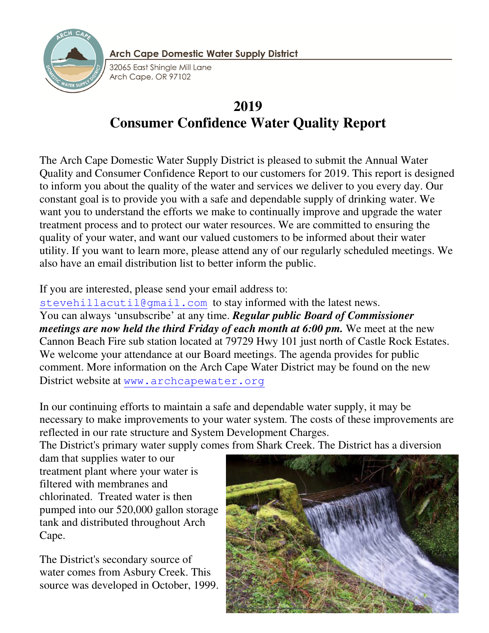

**Arch Cape Domestic Water Supply District** 

32065 East Shinale Mill Lane Arch Cape, OR 97102

# **2019 Consumer Confidence Water Quality Report**

The Arch Cape Domestic Water Supply District is pleased to submit the Annual Water Quality and Consumer Confidence Report to our customers for 2019. This report is designed to inform you about the quality of the water and services we deliver to you every day. Our constant goal is to provide you with a safe and dependable supply of drinking water. We want you to understand the efforts we make to continually improve and upgrade the water treatment process and to protect our water resources. We are committed to ensuring the quality of your water, and want our valued customers to be informed about their water utility. If you want to learn more, please attend any of our regularly scheduled meetings. We also have an email distribution list to better inform the public.

# If you are interested, please send your email address to:

stevehillacutil@gmail.com to stay informed with the latest news. You can always 'unsubscribe' at any time. *Regular public Board of Commissioner meetings are now held the third Friday of each month at 6:00 pm.* We meet at the new Cannon Beach Fire sub station located at 79729 Hwy 101 just north of Castle Rock Estates. We welcome your attendance at our Board meetings. The agenda provides for public comment. More information on the Arch Cape Water District may be found on the new District website at www.archcapewater.org

In our continuing efforts to maintain a safe and dependable water supply, it may be necessary to make improvements to your water system. The costs of these improvements are reflected in our rate structure and System Development Charges.

The District's primary water supply comes from Shark Creek. The District has a diversion

dam that supplies water to our treatment plant where your water is filtered with membranes and chlorinated. Treated water is then pumped into our 520,000 gallon storage tank and distributed throughout Arch Cape.

The District's secondary source of water comes from Asbury Creek. This source was developed in October, 1999.

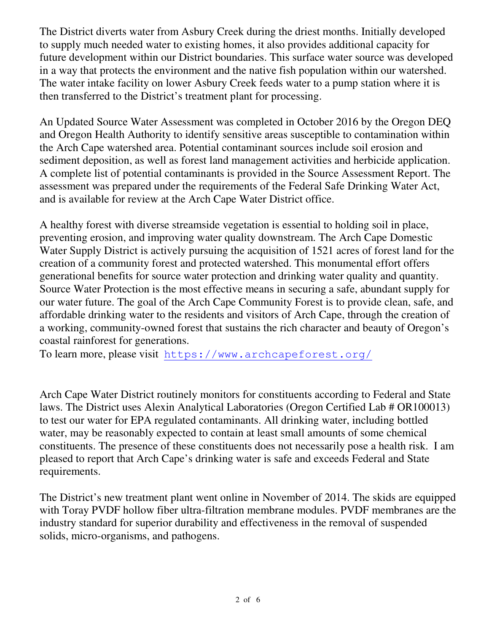The District diverts water from Asbury Creek during the driest months. Initially developed to supply much needed water to existing homes, it also provides additional capacity for future development within our District boundaries. This surface water source was developed in a way that protects the environment and the native fish population within our watershed. The water intake facility on lower Asbury Creek feeds water to a pump station where it is then transferred to the District's treatment plant for processing.

An Updated Source Water Assessment was completed in October 2016 by the Oregon DEQ and Oregon Health Authority to identify sensitive areas susceptible to contamination within the Arch Cape watershed area. Potential contaminant sources include soil erosion and sediment deposition, as well as forest land management activities and herbicide application. A complete list of potential contaminants is provided in the Source Assessment Report. The assessment was prepared under the requirements of the Federal Safe Drinking Water Act, and is available for review at the Arch Cape Water District office.

A healthy forest with diverse streamside vegetation is essential to holding soil in place, preventing erosion, and improving water quality downstream. The Arch Cape Domestic Water Supply District is actively pursuing the acquisition of 1521 acres of forest land for the creation of a community forest and protected watershed. This monumental effort offers generational benefits for source water protection and drinking water quality and quantity. Source Water Protection is the most effective means in securing a safe, abundant supply for our water future. The goal of the Arch Cape Community Forest is to provide clean, safe, and affordable drinking water to the residents and visitors of Arch Cape, through the creation of a working, community-owned forest that sustains the rich character and beauty of Oregon's coastal rainforest for generations.

To learn more, please visit https://www.archcapeforest.org/

Arch Cape Water District routinely monitors for constituents according to Federal and State laws. The District uses Alexin Analytical Laboratories (Oregon Certified Lab # OR100013) to test our water for EPA regulated contaminants. All drinking water, including bottled water, may be reasonably expected to contain at least small amounts of some chemical constituents. The presence of these constituents does not necessarily pose a health risk. I am pleased to report that Arch Cape's drinking water is safe and exceeds Federal and State requirements.

The District's new treatment plant went online in November of 2014. The skids are equipped with Toray PVDF hollow fiber ultra-filtration membrane modules. PVDF membranes are the industry standard for superior durability and effectiveness in the removal of suspended solids, micro-organisms, and pathogens.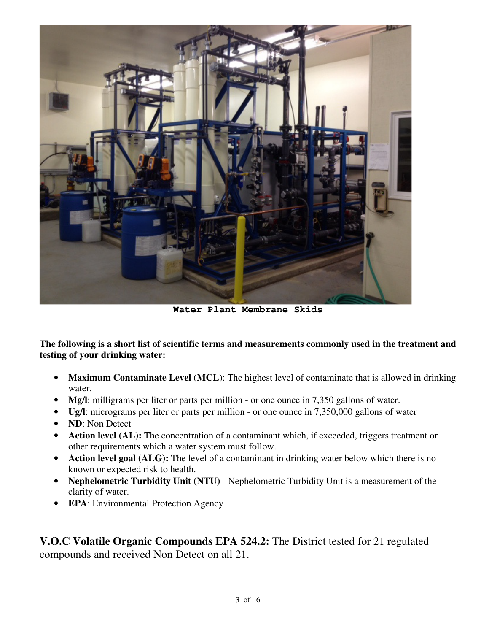

**Water Plant Membrane Skids** 

**The following is a short list of scientific terms and measurements commonly used in the treatment and testing of your drinking water:** 

- **Maximum Contaminate Level (MCL):** The highest level of contaminate that is allowed in drinking water.
- **Mg/l**: milligrams per liter or parts per million or one ounce in 7,350 gallons of water.
- **Ug/l**: micrograms per liter or parts per million or one ounce in 7,350,000 gallons of water
- **ND**: Non Detect
- **Action level (AL):** The concentration of a contaminant which, if exceeded, triggers treatment or other requirements which a water system must follow.
- **Action level goal (ALG):** The level of a contaminant in drinking water below which there is no known or expected risk to health.
- **Nephelometric Turbidity Unit (NTU)** Nephelometric Turbidity Unit is a measurement of the clarity of water.
- **EPA**: Environmental Protection Agency

**V.O.C Volatile Organic Compounds EPA 524.2:** The District tested for 21 regulated compounds and received Non Detect on all 21.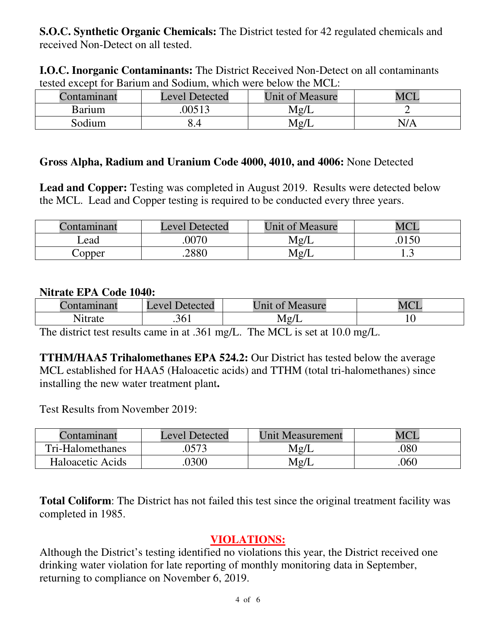**S.O.C. Synthetic Organic Chemicals:** The District tested for 42 regulated chemicals and received Non-Detect on all tested.

**I.O.C. Inorganic Contaminants:** The District Received Non-Detect on all contaminants tested except for Barium and Sodium, which were below the MCL:

| Contaminant | <b>Level Detected</b> | <b>Unit of Measure</b> | <b>MCI</b> |
|-------------|-----------------------|------------------------|------------|
| Barium      | .00513                | Mg/L                   |            |
| Sodium      | 8.4                   | Mg/L                   | N/A        |

#### **Gross Alpha, Radium and Uranium Code 4000, 4010, and 4006:** None Detected

**Lead and Copper:** Testing was completed in August 2019. Results were detected below the MCL. Lead and Copper testing is required to be conducted every three years.

| :ontaminant | <b>Level Detected</b> | <b>Unit of Measure</b> | MCI   |
|-------------|-----------------------|------------------------|-------|
| Lead        | 0070                  | Mg/L                   | .0150 |
| Copper      | .2880                 | Mg/L                   | 1.J   |

#### **Nitrate EPA Code 1040:**

| Contaminant                 | Level Detected | Unit of<br>Measure | $MC^r$ |
|-----------------------------|----------------|--------------------|--------|
| . <del>.</del> .<br>N1trate | .361           | Mg/I               | 1 V    |

The district test results came in at .361 mg/L. The MCL is set at 10.0 mg/L.

**TTHM/HAA5 Trihalomethanes EPA 524.2:** Our District has tested below the average MCL established for HAA5 (Haloacetic acids) and TTHM (total tri-halomethanes) since installing the new water treatment plant**.** 

Test Results from November 2019:

| `ontaminant      | <b>Level Detected</b> | <b>Unit Measurement</b> |     |
|------------------|-----------------------|-------------------------|-----|
| Tri-Halomethanes | .0573                 | Mg/L                    | 080 |
| Haloacetic Acids | .0300                 | Mg/L                    | 060 |

**Total Coliform**: The District has not failed this test since the original treatment facility was completed in 1985.

### **VIOLATIONS:**

Although the District's testing identified no violations this year, the District received one drinking water violation for late reporting of monthly monitoring data in September, returning to compliance on November 6, 2019.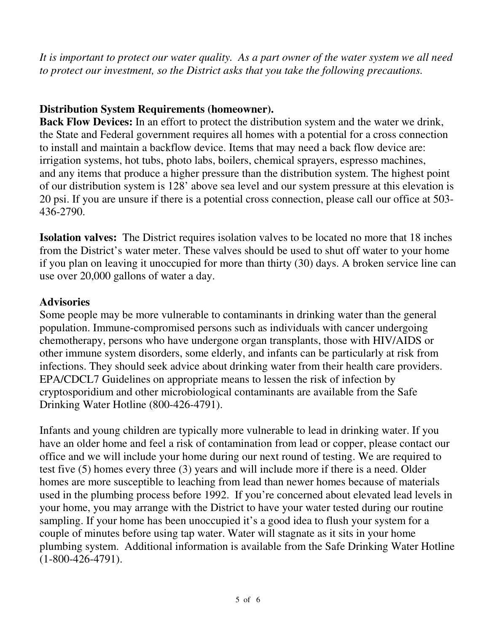*It is important to protect our water quality. As a part owner of the water system we all need to protect our investment, so the District asks that you take the following precautions.* 

# **Distribution System Requirements (homeowner).**

**Back Flow Devices:** In an effort to protect the distribution system and the water we drink, the State and Federal government requires all homes with a potential for a cross connection to install and maintain a backflow device. Items that may need a back flow device are: irrigation systems, hot tubs, photo labs, boilers, chemical sprayers, espresso machines, and any items that produce a higher pressure than the distribution system. The highest point of our distribution system is 128' above sea level and our system pressure at this elevation is 20 psi. If you are unsure if there is a potential cross connection, please call our office at 503- 436-2790.

**Isolation valves:** The District requires isolation valves to be located no more that 18 inches from the District's water meter. These valves should be used to shut off water to your home if you plan on leaving it unoccupied for more than thirty (30) days. A broken service line can use over 20,000 gallons of water a day.

### **Advisories**

Some people may be more vulnerable to contaminants in drinking water than the general population. Immune-compromised persons such as individuals with cancer undergoing chemotherapy, persons who have undergone organ transplants, those with HIV/AIDS or other immune system disorders, some elderly, and infants can be particularly at risk from infections. They should seek advice about drinking water from their health care providers. EPA/CDCL7 Guidelines on appropriate means to lessen the risk of infection by cryptosporidium and other microbiological contaminants are available from the Safe Drinking Water Hotline (800-426-4791).

Infants and young children are typically more vulnerable to lead in drinking water. If you have an older home and feel a risk of contamination from lead or copper, please contact our office and we will include your home during our next round of testing. We are required to test five (5) homes every three (3) years and will include more if there is a need. Older homes are more susceptible to leaching from lead than newer homes because of materials used in the plumbing process before 1992. If you're concerned about elevated lead levels in your home, you may arrange with the District to have your water tested during our routine sampling. If your home has been unoccupied it's a good idea to flush your system for a couple of minutes before using tap water. Water will stagnate as it sits in your home plumbing system. Additional information is available from the Safe Drinking Water Hotline (1-800-426-4791).